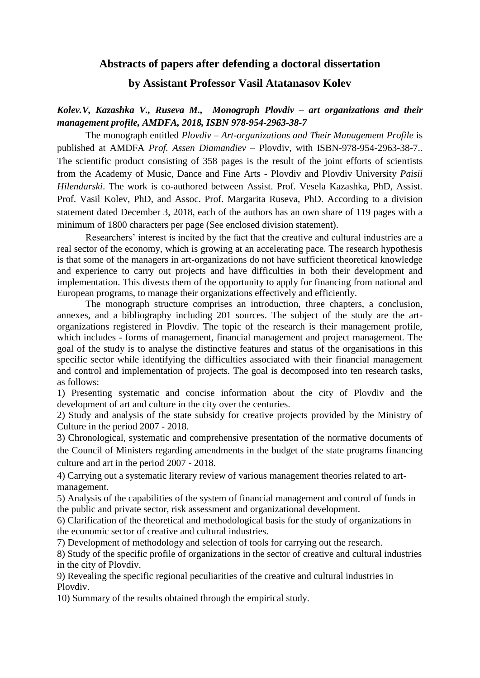# **Abstracts of papers after defending a doctoral dissertation**

# **by Assistant Professor Vasil Atatanasov Kolev**

# *Kolev.V, Kazashka V., Ruseva M., Monograph Plovdiv – art organizations and their management profile, AMDFA, 2018, ISBN 978-954-2963-38-7*

The monograph entitled *Plovdiv – Art-organizations and Their Management Profile* is published at AMDFA *Prof. Assen Diamandiev* – Plovdiv, with ISBN-978-954-2963-38-7.. The scientific product consisting of 358 pages is the result of the joint efforts of scientists from the Academy of Music, Dance and Fine Arts - Plovdiv and Plovdiv University *Paisii Hilendarski*. The work is co-authored between Assist. Prof. Vesela Kazashka, PhD, Assist. Prof. Vasil Kolev, PhD, and Assoc. Prof. Margarita Ruseva, PhD. According to a division statement dated December 3, 2018, each of the authors has an own share of 119 pages with a minimum of 1800 characters per page (See enclosed division statement).

Researchers' interest is incited by the fact that the creative and cultural industries are a real sector of the economy, which is growing at an accelerating pace. The research hypothesis is that some of the managers in art-organizations do not have sufficient theoretical knowledge and experience to carry out projects and have difficulties in both their development and implementation. This divests them of the opportunity to apply for financing from national and European programs, to manage their organizations effectively and efficiently.

The monograph structure comprises an introduction, three chapters, a conclusion, annexes, and a bibliography including 201 sources. The subject of the study are the artorganizations registered in Plovdiv. The topic of the research is their management profile, which includes - forms of management, financial management and project management. The goal of the study is to analyse the distinctive features and status of the organisations in this specific sector while identifying the difficulties associated with their financial management and control and implementation of projects. The goal is decomposed into ten research tasks, as follows:

1) Presenting systematic and concise information about the city of Plovdiv and the development of art and culture in the city over the centuries.

2) Study and analysis of the state subsidy for creative projects provided by the Ministry of Culture in the period 2007 - 2018.

3) Chronological, systematic and comprehensive presentation of the normative documents of the Council of Ministers regarding amendments in the budget of the state programs financing culture and art in the period 2007 - 2018.

4) Carrying out a systematic literary review of various management theories related to artmanagement.

5) Analysis of the capabilities of the system of financial management and control of funds in the public and private sector, risk assessment and organizational development.

6) Clarification of the theoretical and methodological basis for the study of organizations in the economic sector of creative and cultural industries.

7) Development of methodology and selection of tools for carrying out the research.

8) Study of the specific profile of organizations in the sector of creative and cultural industries in the city of Plovdiv.

9) Revealing the specific regional peculiarities of the creative and cultural industries in Plovdiv.

10) Summary of the results obtained through the empirical study.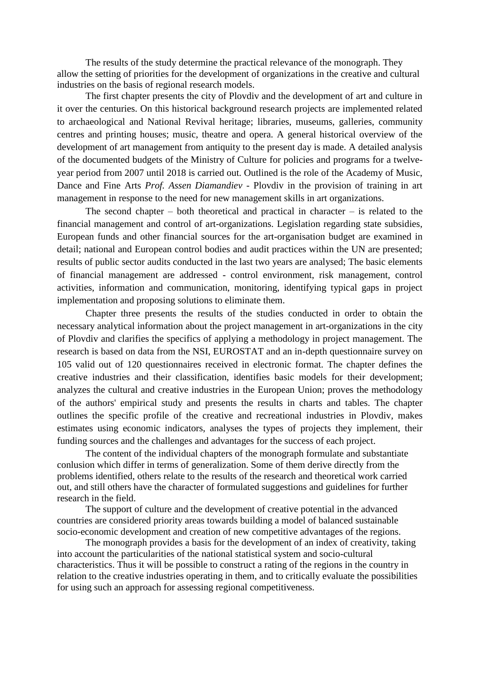The results of the study determine the practical relevance of the monograph. They allow the setting of priorities for the development of organizations in the creative and cultural industries on the basis of regional research models.

The first chapter presents the city of Plovdiv and the development of art and culture in it over the centuries. On this historical background research projects are implemented related to archaeological and National Revival heritage; libraries, museums, galleries, community centres and printing houses; music, theatre and opera. A general historical overview of the development of art management from antiquity to the present day is made. A detailed analysis of the documented budgets of the Ministry of Culture for policies and programs for a twelveyear period from 2007 until 2018 is carried out. Outlined is the role of the Academy of Music, Dance and Fine Arts *Prof. Assen Diamandiev* - Plovdiv in the provision of training in art management in response to the need for new management skills in art organizations.

The second chapter – both theoretical and practical in character – is related to the financial management and control of art-organizations. Legislation regarding state subsidies, European funds and other financial sources for the art-organisation budget are examined in detail; national and European control bodies and audit practices within the UN are presented; results of public sector audits conducted in the last two years are analysed; The basic elements of financial management are addressed - control environment, risk management, control activities, information and communication, monitoring, identifying typical gaps in project implementation and proposing solutions to eliminate them.

Chapter three presents the results of the studies conducted in order to obtain the necessary analytical information about the project management in art-organizations in the city of Plovdiv and clarifies the specifics of applying a methodology in project management. The research is based on data from the NSI, EUROSTAT and an in-depth questionnaire survey on 105 valid out of 120 questionnaires received in electronic format. The chapter defines the creative industries and their classification, identifies basic models for their development; analyzes the cultural and creative industries in the European Union; proves the methodology of the authors' empirical study and presents the results in charts and tables. The chapter outlines the specific profile of the creative and recreational industries in Plovdiv, makes estimates using economic indicators, analyses the types of projects they implement, their funding sources and the challenges and advantages for the success of each project.

The content of the individual chapters of the monograph formulate and substantiate conlusion which differ in terms of generalization. Some of them derive directly from the problems identified, others relate to the results of the research and theoretical work carried out, and still others have the character of formulated suggestions and guidelines for further research in the field.

The support of culture and the development of creative potential in the advanced countries are considered priority areas towards building a model of balanced sustainable socio-economic development and creation of new competitive advantages of the regions.

The monograph provides a basis for the development of an index of creativity, taking into account the particularities of the national statistical system and socio-cultural characteristics. Thus it will be possible to construct a rating of the regions in the country in relation to the creative industries operating in them, and to critically evaluate the possibilities for using such an approach for assessing regional competitiveness.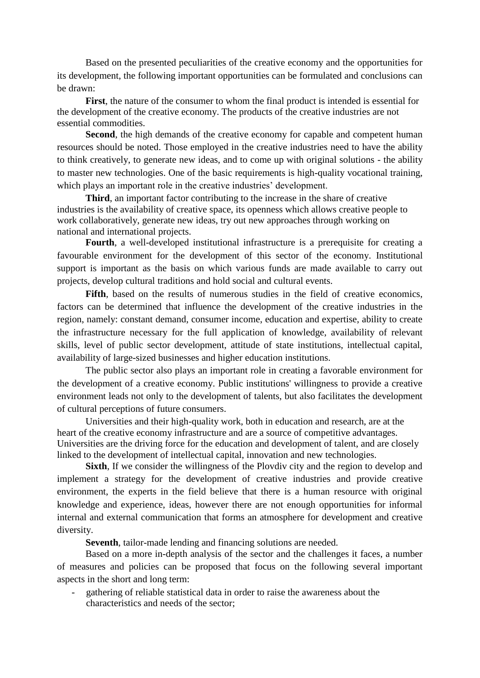Based on the presented peculiarities of the creative economy and the opportunities for its development, the following important opportunities can be formulated and conclusions can be drawn:

**First**, the nature of the consumer to whom the final product is intended is essential for the development of the creative economy. The products of the creative industries are not essential commodities.

**Second**, the high demands of the creative economy for capable and competent human resources should be noted. Those employed in the creative industries need to have the ability to think creatively, to generate new ideas, and to come up with original solutions - the ability to master new technologies. One of the basic requirements is high-quality vocational training, which plays an important role in the creative industries' development.

**Third**, an important factor contributing to the increase in the share of creative industries is the availability of creative space, its openness which allows creative people to work collaboratively, generate new ideas, try out new approaches through working on national and international projects.

**Fourth**, a well-developed institutional infrastructure is a prerequisite for creating a favourable environment for the development of this sector of the economy. Institutional support is important as the basis on which various funds are made available to carry out projects, develop cultural traditions and hold social and cultural events.

**Fifth**, based on the results of numerous studies in the field of creative economics, factors can be determined that influence the development of the creative industries in the region, namely: constant demand, consumer income, education and expertise, ability to create the infrastructure necessary for the full application of knowledge, availability of relevant skills, level of public sector development, attitude of state institutions, intellectual capital, availability of large-sized businesses and higher education institutions.

The public sector also plays an important role in creating a favorable environment for the development of a creative economy. Public institutions' willingness to provide a creative environment leads not only to the development of talents, but also facilitates the development of cultural perceptions of future consumers.

Universities and their high-quality work, both in education and research, are at the heart of the creative economy infrastructure and are a source of competitive advantages. Universities are the driving force for the education and development of talent, and are closely linked to the development of intellectual capital, innovation and new technologies.

**Sixth**, If we consider the willingness of the Plovdiv city and the region to develop and implement a strategy for the development of creative industries and provide creative environment, the experts in the field believe that there is a human resource with original knowledge and experience, ideas, however there are not enough opportunities for informal internal and external communication that forms an atmosphere for development and creative diversity.

**Seventh**, tailor-made lending and financing solutions are needed.

Based on a more in-depth analysis of the sector and the challenges it faces, a number of measures and policies can be proposed that focus on the following several important aspects in the short and long term:

gathering of reliable statistical data in order to raise the awareness about the characteristics and needs of the sector;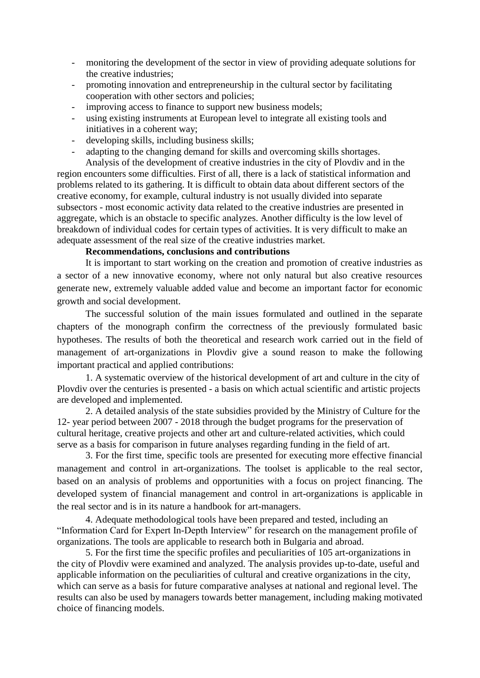- monitoring the development of the sector in view of providing adequate solutions for the creative industries;
- promoting innovation and entrepreneurship in the cultural sector by facilitating cooperation with other sectors and policies;
- improving access to finance to support new business models;
- using existing instruments at European level to integrate all existing tools and initiatives in a coherent way;
- developing skills, including business skills;
- adapting to the changing demand for skills and overcoming skills shortages.

Analysis of the development of creative industries in the city of Plovdiv and in the region encounters some difficulties. First of all, there is a lack of statistical information and problems related to its gathering. It is difficult to obtain data about different sectors of the creative economy, for example, cultural industry is not usually divided into separate subsectors - most economic activity data related to the creative industries are presented in aggregate, which is an obstacle to specific analyzes. Another difficulty is the low level of breakdown of individual codes for certain types of activities. It is very difficult to make an adequate assessment of the real size of the creative industries market.

## **Recommendations, conclusions and contributions**

It is important to start working on the creation and promotion of creative industries as a sector of a new innovative economy, where not only natural but also creative resources generate new, extremely valuable added value and become an important factor for economic growth and social development.

The successful solution of the main issues formulated and outlined in the separate chapters of the monograph confirm the correctness of the previously formulated basic hypotheses. The results of both the theoretical and research work carried out in the field of management of art-organizations in Plovdiv give a sound reason to make the following important practical and applied contributions:

1. A systematic overview of the historical development of art and culture in the city of Plovdiv over the centuries is presented - a basis on which actual scientific and artistic projects are developed and implemented.

2. A detailed analysis of the state subsidies provided by the Ministry of Culture for the 12- year period between 2007 - 2018 through the budget programs for the preservation of cultural heritage, creative projects and other art and culture-related activities, which could serve as a basis for comparison in future analyses regarding funding in the field of art.

3. For the first time, specific tools are presented for executing more effective financial management and control in art-organizations. The toolset is applicable to the real sector, based on an analysis of problems and opportunities with a focus on project financing. The developed system of financial management and control in art-organizations is applicable in the real sector and is in its nature a handbook for art-managers.

4. Adequate methodological tools have been prepared and tested, including an "Information Card for Expert In-Depth Interview" for research on the management profile of organizations. The tools are applicable to research both in Bulgaria and abroad.

5. For the first time the specific profiles and peculiarities of 105 art-organizations in the city of Plovdiv were examined and analyzed. The analysis provides up-to-date, useful and applicable information on the peculiarities of cultural and creative organizations in the city, which can serve as a basis for future comparative analyses at national and regional level. The results can also be used by managers towards better management, including making motivated choice of financing models.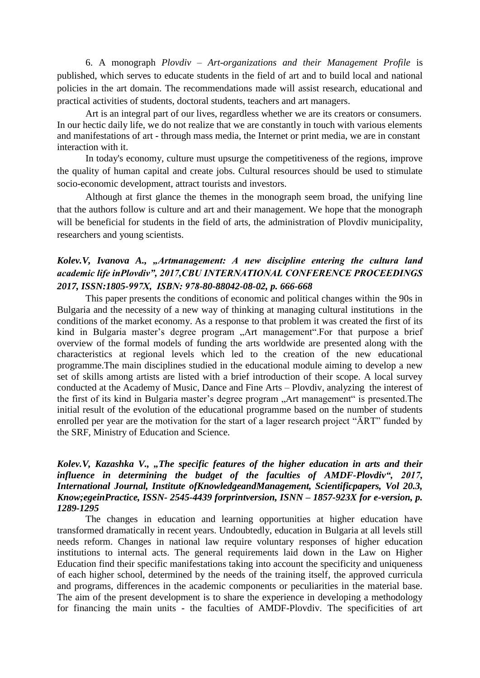6. A monograph *Plovdiv – Art-organizations and their Management Profile* is published, which serves to educate students in the field of art and to build local and national policies in the art domain. The recommendations made will assist research, educational and practical activities of students, doctoral students, teachers and art managers.

Art is an integral part of our lives, regardless whether we are its creators or consumers. In our hectic daily life, we do not realize that we are constantly in touch with various elements and manifestations of art - through mass media, the Internet or print media, we are in constant interaction with it.

In today's economy, culture must upsurge the competitiveness of the regions, improve the quality of human capital and create jobs. Cultural resources should be used to stimulate socio-economic development, attract tourists and investors.

Although at first glance the themes in the monograph seem broad, the unifying line that the authors follow is culture and art and their management. We hope that the monograph will be beneficial for students in the field of arts, the administration of Plovdiv municipality, researchers and young scientists.

# *Kolev.V, Ivanova A., "Artmanagement: A new discipline entering the cultura land academic life inPlovdiv", 2017,CBU INTERNATIONAL CONFERENCE PROCEEDINGS 2017, ISSN:1805-997Х, ISBN: 978-80-88042-08-02, p. 666-668*

This paper presents the conditions of economic and political changes within the 90s in Bulgaria and the necessity of a new way of thinking at managing cultural institutions in the conditions of the market economy. As a response to that problem it was created the first of its kind in Bulgaria master's degree program "Art management".For that purpose a brief overview of the formal models of funding the arts worldwide are presented along with the characteristics at regional levels which led to the creation of the new educational programme.The main disciplines studied in the educational module aiming to develop a new set of skills among artists are listed with a brief introduction of their scope. A local survey conducted at the Academy of Music, Dance and Fine Arts – Plovdiv, analyzing the interest of the first of its kind in Bulgaria master's degree program "Art management" is presented. The initial result of the evolution of the educational programme based on the number of students enrolled per year are the motivation for the start of a lager research project "ÄRT" funded by the SRF, Ministry of Education and Science.

## *Kolev.V, Kazashka V., "The specific features of the higher education in arts and their*  influence in determining the budget of the faculties of AMDF-Plovdiv", 2017, *International Journal, Institute ofKnowledgeandManagement, Scientificpapers, Vol 20.3, Know;egeinPractice, ISSN- 2545-4439 forprintversion, ISNN – 1857-923X for e-version, p. 1289-1295*

The changes in education and learning opportunities at higher education have transformed dramatically in recent years. Undoubtedly, education in Bulgaria at all levels still needs reform. Changes in national law require voluntary responses of higher education institutions to internal acts. The general requirements laid down in the Law on Higher Education find their specific manifestations taking into account the specificity and uniqueness of each higher school, determined by the needs of the training itself, the approved curricula and programs, differences in the academic components or peculiarities in the material base. The aim of the present development is to share the experience in developing a methodology for financing the main units - the faculties of AMDF-Plovdiv. The specificities of art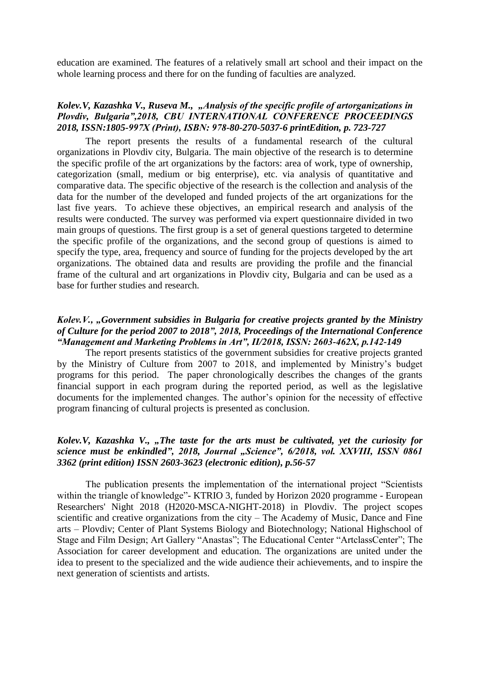education are examined. The features of a relatively small art school and their impact on the whole learning process and there for on the funding of faculties are analyzed.

## *Kolev.V, Kazashka V., Ruseva M., "Analysis of the specific profile of artorganizations in Plovdiv, Bulgaria",2018, CBU INTERNATIONAL CONFERENCE PROCEEDINGS 2018, ISSN:1805-997Х (Print), ISBN: 978-80-270-5037-6 printEdition, p. 723-727*

The report presents the results of a fundamental research of the cultural organizations in Plovdiv city, Bulgaria. The main objective of the research is to determine the specific profile of the art organizations by the factors: area of work, type of ownership, categorization (small, medium or big enterprise), etc. via analysis of quantitative and comparative data. The specific objective of the research is the collection and analysis of the data for the number of the developed and funded projects of the art organizations for the last five years. To achieve these objectives, an empirical research and analysis of the results were conducted. The survey was performed via expert questionnaire divided in two main groups of questions. The first group is a set of general questions targeted to determine the specific profile of the organizations, and the second group of questions is aimed to specify the type, area, frequency and source of funding for the projects developed by the art organizations. The obtained data and results are providing the profile and the financial frame of the cultural and art organizations in Plovdiv city, Bulgaria and can be used as a base for further studies and research.

## *Kolev.V., "Government subsidies in Bulgaria for creative projects granted by the Ministry of Culture for the period 2007 to 2018", 2018, Proceedings of the International Conference "Management and Marketing Problems in Art", II/2018, ISSN: 2603-462Х, p.142-149*

The report presents statistics of the government subsidies for creative projects granted by the Ministry of Culture from 2007 to 2018, and implemented by Ministry's budget programs for this period. The paper chronologically describes the changes of the grants financial support in each program during the reported period, as well as the legislative documents for the implemented changes. The author's opinion for the necessity of effective program financing of cultural projects is presented as conclusion.

#### *Kolev.V, Kazashka V., "The taste for the arts must be cultivated, yet the curiosity for science must be enkindled", 2018, Journal "Science", 6/2018, vol. XXVIII, ISSN 0861 3362 (print edition) ISSN 2603-3623 (electronic edition), p.56-57*

The publication presents the implementation of the international project "Scientists within the triangle of knowledge"- KTRIO 3, funded by Horizon 2020 programme - European Researchers' Night 2018 (H2020-MSCA-NIGHT-2018) in Plovdiv. The project scopes scientific and creative organizations from the city – The Academy of Music, Dance and Fine arts – Plovdiv; Center of Plant Systems Biology and Biotechnology; National Highschool of Stage and Film Design; Art Gallery "Anastas"; The Educational Center "ArtclassCenter"; The Association for career development and education. The organizations are united under the idea to present to the specialized and the wide audience their achievements, and to inspire the next generation of scientists and artists.